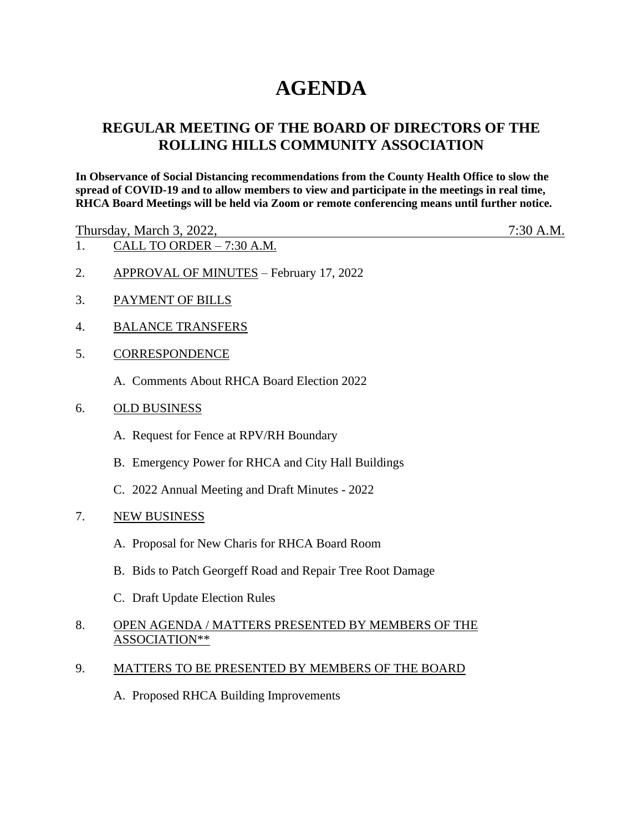# **AGENDA**

## **REGULAR MEETING OF THE BOARD OF DIRECTORS OF THE ROLLING HILLS COMMUNITY ASSOCIATION**

**In Observance of Social Distancing recommendations from the County Health Office to slow the spread of COVID-19 and to allow members to view and participate in the meetings in real time, RHCA Board Meetings will be held via Zoom or remote conferencing means until further notice.** 

Thursday, March 3, 2022, 7:30 A.M.

- 1. CALL TO ORDER 7:30 A.M.
- 2. APPROVAL OF MINUTES February 17, 2022
- 3. PAYMENT OF BILLS
- 4. BALANCE TRANSFERS
- 5. CORRESPONDENCE
	- A. Comments About RHCA Board Election 2022
- 6. OLD BUSINESS
	- A. Request for Fence at RPV/RH Boundary
	- B. Emergency Power for RHCA and City Hall Buildings
	- C. 2022 Annual Meeting and Draft Minutes 2022
- 7. NEW BUSINESS
	- A. Proposal for New Charis for RHCA Board Room
	- B. Bids to Patch Georgeff Road and Repair Tree Root Damage
	- C. Draft Update Election Rules
- 8. OPEN AGENDA / MATTERS PRESENTED BY MEMBERS OF THE ASSOCIATION\*\*
- 9. MATTERS TO BE PRESENTED BY MEMBERS OF THE BOARD
	- A. Proposed RHCA Building Improvements